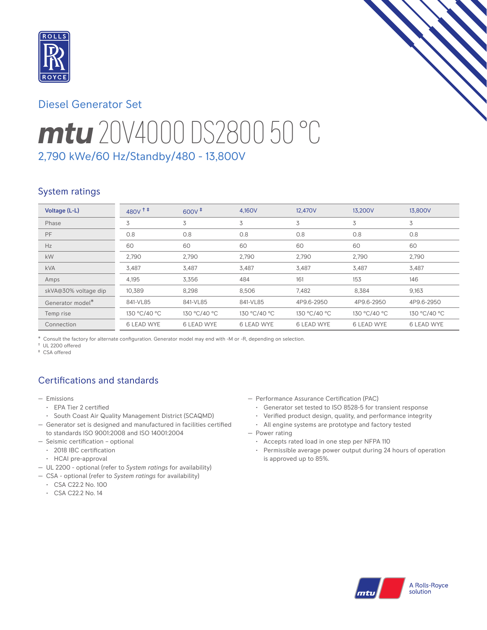

# Diesel Generator Set

# *mtu* 20V4000 DS2800 50 °C 2,790 kWe/60 Hz/Standby/480 - 13,800V

# System ratings

| Voltage (L-L)        | $480V$ <sup>++</sup> | $600V$ <sup><math>#</math></sup> | 4,160V            | 12,470V           | 13,200V           | 13,800V           |
|----------------------|----------------------|----------------------------------|-------------------|-------------------|-------------------|-------------------|
| Phase                | 3                    | 3                                | 3                 | 3                 | 3                 | 3                 |
| PF                   | 0.8                  | 0.8                              | 0.8               | 0.8               | 0.8               | 0.8               |
| Hz                   | 60                   | 60                               | 60                | 60                | 60                | 60                |
| kW                   | 2,790                | 2,790                            | 2,790             | 2,790             | 2,790             | 2,790             |
| <b>kVA</b>           | 3,487                | 3,487                            | 3,487             | 3,487             | 3,487             | 3,487             |
| Amps                 | 4,195                | 3,356                            | 484               | 161               | 153               | 146               |
| skVA@30% voltage dip | 10,389               | 8,298                            | 8,506             | 7,482             | 8,384             | 9,163             |
| Generator model*     | 841-VL85             | 841-VL85                         | 841-VL85          | 4P9.6-2950        | 4P9.6-2950        | 4P9.6-2950        |
| Temp rise            | 130 °C/40 °C         | 130 °C/40 °C                     | 130 °C/40 °C      | 130 °C/40 °C      | 130 °C/40 °C      | 130 °C/40 °C      |
| Connection           | <b>6 LEAD WYE</b>    | <b>6 LEAD WYE</b>                | <b>6 LEAD WYE</b> | <b>6 LEAD WYE</b> | <b>6 LEAD WYE</b> | <b>6 LEAD WYE</b> |

\* Consult the factory for alternate configuration. Generator model may end with -M or -R, depending on selection.

† UL 2200 offered ‡ CSA offered

# Certifications and standards

- Emissions
	- EPA Tier 2 certified
	- South Coast Air Quality Management District (SCAQMD)
- Generator set is designed and manufactured in facilities certified to standards ISO 9001:2008 and ISO 14001:2004
- Seismic certification optional
- 2018 IBC certification
- HCAI pre-approval
- UL 2200 optional (refer to *System ratings* for availability)
- CSA optional (refer to *System ratings* for availability)
	- CSA C22.2 No. 100
	- CSA C22.2 No. 14
- Performance Assurance Certification (PAC)
	- Generator set tested to ISO 8528-5 for transient response
	- Verified product design, quality, and performance integrity
	- All engine systems are prototype and factory tested
- Power rating
	- Accepts rated load in one step per NFPA 110
	- Permissible average power output during 24 hours of operation is approved up to 85%.

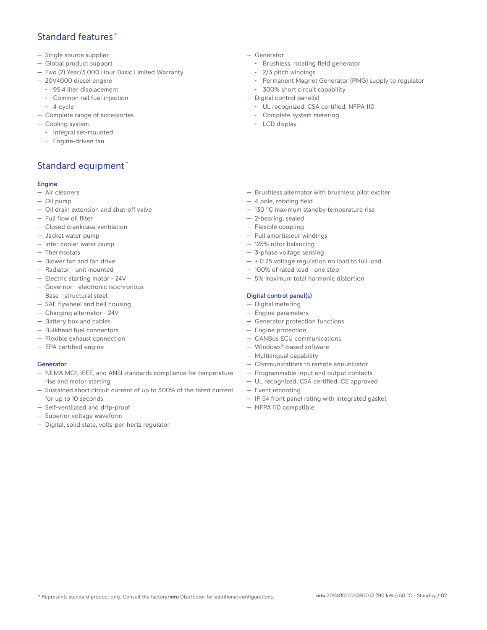### Standard features \*

- Single source supplier
- Global product support
- Two (2) Year/3,000 Hour Basic Limited Warranty
- 20V4000 diesel engine
	- 95.4 liter displacement
	- Common rail fuel injection
	- 4-cycle
- Complete range of accessories
- Cooling system
	- Integral set-mounted
	- Engine-driven fan

# Standard equipment \*

### Engine

- Air cleaners
- Oil pump
- Oil drain extension and shut-off valve
- Full flow oil filter
- Closed crankcase ventilation
- Jacket water pump
- Inter cooler water pump
- Thermostats
- Blower fan and fan drive
- Radiator unit mounted
- Electric starting motor 24V
- Governor electronic isochronous
- Base structural steel
- SAE flywheel and bell housing
- Charging alternator 24V
- Battery box and cables
- Bulkhead fuel connectors
- Flexible exhaust connection
- EPA certified engine

### **Generator**

- NEMA MG1, IEEE, and ANSI standards compliance for temperature rise and motor starting
- Sustained short circuit current of up to 300% of the rated current for up to 10 seconds
- Self-ventilated and drip-proof
- Digital, solid state, volts-per-hertz regulator

#### — Generator

- Brushless, rotating field generator
- 2/3 pitch windings
- Permanent Magnet Generator (PMG) supply to regulator
- 300% short circuit capability
- Digital control panel(s)
	- UL recognized, CSA certified, NFPA 110
	- Complete system metering
	- LCD display
- Brushless alternator with brushless pilot exciter
- 4 pole, rotating field
- 130 °C maximum standby temperature rise
- 2-bearing, sealed
- Flexible coupling
- Full amortisseur windings
- 125% rotor balancing
- 3-phase voltage sensing
- ± 0.25 voltage regulation no load to full load
- 100% of rated load one step
- 5% maximum total harmonic distortion

### Digital control panel(s)

- Digital metering
- Engine parameters
- Generator protection functions
- Engine protection
- CANBus ECU communications
- Windows®-based software
- Multilingual capability
- Communications to remote annunciator
- Programmable input and output contacts
- UL recognized, CSA certified, CE approved
- Event recording
- IP 54 front panel rating with integrated gasket
- NFPA 110 compatible
- 
- 
- 
- 
- Superior voltage waveform
-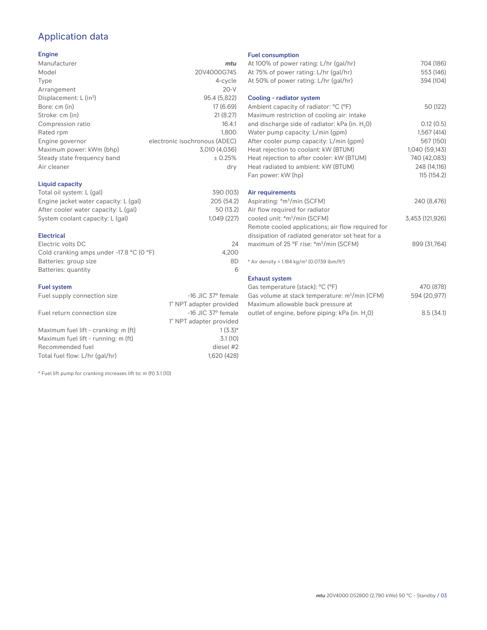# Application data

### Engine

| Manufacturer                         | mtu                           |
|--------------------------------------|-------------------------------|
| Model                                | 20V4000G74S                   |
| Type                                 | 4-cycle                       |
| Arrangement                          | $20-V$                        |
| Displacement: $L$ (in <sup>3</sup> ) | 95.4 (5,822)                  |
| Bore: cm (in)                        | 17 (6.69)                     |
| Stroke: cm (in)                      | 21(8.27)                      |
| Compression ratio                    | 16.4:1                        |
| Rated rpm                            | 1.800                         |
| Engine governor                      | electronic isochronous (ADEC) |
| Maximum power: kWm (bhp)             | 3,010 (4,036)                 |
| Steady state frequency band          | ± 0.25%                       |
| Air cleaner                          | dry                           |
|                                      |                               |

### Liquid capacity

| Total oil system: L (gal)             | 390 (103)  |
|---------------------------------------|------------|
| Engine jacket water capacity: L (gal) | 205 (54.2) |
| After cooler water capacity: L (gal)  | 50 (13.2)  |
| System coolant capacity: L (gal)      | 1.049(227) |
|                                       |            |

### Electrical

| Electric volts DC                                            | 24    |
|--------------------------------------------------------------|-------|
| Cold cranking amps under -17.8 $^{\circ}$ C (O $^{\circ}$ F) | 4.200 |
| Batteries: group size                                        | 8D    |
| Batteries: quantity                                          |       |

### Fuel system

| Fuel supply connection size          | $-16$ JIC 37 $\degree$ female |
|--------------------------------------|-------------------------------|
|                                      | 1" NPT adapter provided       |
| Fuel return connection size          | $-16$ JIC 37 $\degree$ female |
|                                      | 1" NPT adapter provided       |
| Maximum fuel lift - cranking: m (ft) | $1(3.3)*$                     |
| Maximum fuel lift - running: m (ft)  | 3.1(10)                       |
| Recommended fuel                     | diesel #2                     |
| Total fuel flow: L/hr (gal/hr)       | 1.620 (428)                   |

\* Fuel lift pump for cranking increases lift to: m (ft) 3.1 (10)

### Fuel consumption

| At 100% of power rating: L/hr (gal/hr)                                              | 704 (186)       |
|-------------------------------------------------------------------------------------|-----------------|
| At 75% of power rating: L/hr (gal/hr)                                               | 553 (146)       |
| At 50% of power rating: L/hr (gal/hr)                                               | 394 (104)       |
| Cooling - radiator system                                                           |                 |
| Ambient capacity of radiator: °C (°F)<br>Maximum restriction of cooling air: intake | 50 (122)        |
| and discharge side of radiator: kPa (in. H <sub>2</sub> 0)                          | 0.12(0.5)       |
| Water pump capacity: L/min (gpm)                                                    | 1,567(414)      |
| After cooler pump capacity: L/min (gpm)                                             | 567 (150)       |
| Heat rejection to coolant: kW (BTUM)                                                | 1,040 (59,143)  |
| Heat rejection to after cooler: kW (BTUM)                                           | 740 (42,083)    |
| Heat radiated to ambient: kW (BTUM)                                                 | 248 (14,116)    |
| Fan power: kW (hp)                                                                  | 115(154.2)      |
| Air requirements                                                                    |                 |
| Aspirating: *m <sup>3</sup> /min (SCFM)                                             | 240 (8,476)     |
| Air flow required for radiator                                                      |                 |
| cooled unit: *m <sup>3</sup> /min (SCFM)                                            | 3,453 (121,926) |
| Remote cooled applications; air flow required for                                   |                 |
| dissipation of radiated generator set heat for a                                    |                 |
| maximum of 25 °F rise: *m <sup>3</sup> /min (SCFM)                                  | 899 (31,764)    |
| * Air density = 1.184 kg/m <sup>3</sup> (0.0739 lbm/ft <sup>3</sup> )               |                 |
| <b>Exhaust system</b>                                                               |                 |
| Gas temperature (stack): °C (°F)                                                    | 470 (878)       |
| Gas volume at stack temperature: m <sup>3</sup> /min (CFM)                          | 594 (20.977)    |

| Uas vuluntu al slack tunpulaturu. In / Inni (CT MJ | JJ4 (ZU,JIII |
|----------------------------------------------------|--------------|
| Maximum allowable back pressure at                 |              |
| outlet of engine, before piping: kPa (in. H.O)     | 8.5(34.1)    |